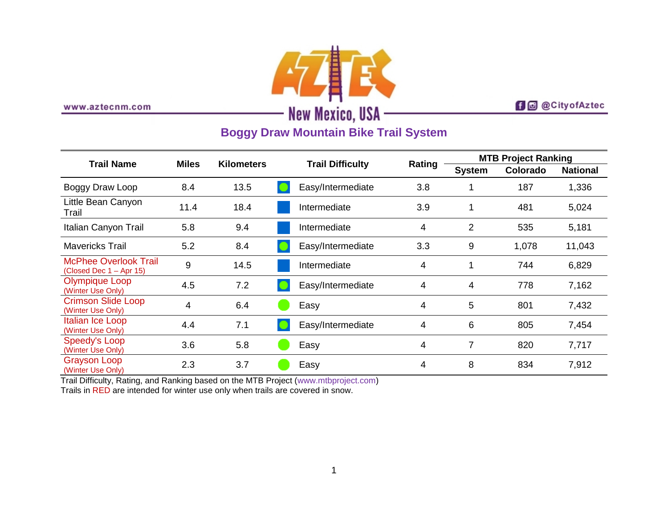

www.aztecnm.com

**f d** @CityofAztec

## **Boggy Draw Mountain Bike Trail System**

| <b>Trail Name</b>                                         | <b>Miles</b> | <b>Kilometers</b> | <b>Trail Difficulty</b> |                   | Rating | <b>MTB Project Ranking</b> |          |                 |
|-----------------------------------------------------------|--------------|-------------------|-------------------------|-------------------|--------|----------------------------|----------|-----------------|
|                                                           |              |                   |                         |                   |        | <b>System</b>              | Colorado | <b>National</b> |
| Boggy Draw Loop                                           | 8.4          | 13.5              |                         | Easy/Intermediate | 3.8    |                            | 187      | 1,336           |
| Little Bean Canyon<br>Trail                               | 11.4         | 18.4              |                         | Intermediate      | 3.9    |                            | 481      | 5,024           |
| Italian Canyon Trail                                      | 5.8          | 9.4               |                         | Intermediate      | 4      | 2                          | 535      | 5,181           |
| <b>Mavericks Trail</b>                                    | 5.2          | 8.4               |                         | Easy/Intermediate | 3.3    | 9                          | 1,078    | 11,043          |
| <b>McPhee Overlook Trail</b><br>(Closed Dec $1 -$ Apr 15) | 9            | 14.5              |                         | Intermediate      | 4      |                            | 744      | 6,829           |
| Olympique Loop<br>(Winter Use Only)                       | 4.5          | 7.2               |                         | Easy/Intermediate | 4      | 4                          | 778      | 7,162           |
| <b>Crimson Slide Loop</b><br>(Winter Use Only)            | 4            | 6.4               |                         | Easy              | 4      | 5                          | 801      | 7,432           |
| Italian Ice Loop<br>(Winter Use Only)                     | 4.4          | 7.1               |                         | Easy/Intermediate | 4      | 6                          | 805      | 7,454           |
| Speedy's Loop<br>(Winter Use Only)                        | 3.6          | 5.8               |                         | Easy              | 4      | $\overline{7}$             | 820      | 7,717           |
| <b>Grayson Loop</b><br>(Winter Use Only)                  | 2.3          | 3.7               |                         | Easy              | 4      | 8                          | 834      | 7,912           |

Trail Difficulty, Rating, and Ranking based on the MTB Project [\(www.mtbproject.com\)](http://www.mtbproject.com/)

Trails in RED are intended for winter use only when trails are covered in snow.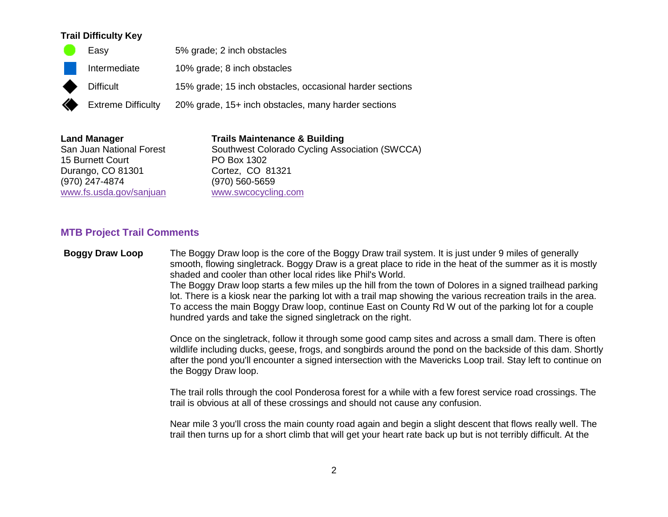## **Trail Difficulty Key**

|   | Easy                      | 5% grade; 2 inch obstacles                               |
|---|---------------------------|----------------------------------------------------------|
|   | Intermediate              | 10% grade; 8 inch obstacles                              |
|   | <b>Difficult</b>          | 15% grade; 15 inch obstacles, occasional harder sections |
| ♦ | <b>Extreme Difficulty</b> | 20% grade, 15+ inch obstacles, many harder sections      |

| <b>Land Manager</b>      | <b>Trails Maintenance &amp; Building</b>       |
|--------------------------|------------------------------------------------|
| San Juan National Forest | Southwest Colorado Cycling Association (SWCCA) |
| 15 Burnett Court         | PO Box 1302                                    |
| Durango, CO 81301        | Cortez, CO 81321                               |
| (970) 247-4874           | (970) 560-5659                                 |
| www.fs.usda.gov/sanjuan  | www.swcocycling.com                            |

## **MTB Project Trail Comments**

**Boggy Draw Loop** The Boggy Draw loop is the core of the Boggy Draw trail system. It is just under 9 miles of generally smooth, flowing singletrack. Boggy Draw is a great place to ride in the heat of the summer as it is mostly shaded and cooler than other local rides like Phil's World. The Boggy Draw loop starts a few miles up the hill from the town of Dolores in a signed trailhead parking lot. There is a kiosk near the parking lot with a trail map showing the various recreation trails in the area. To access the main Boggy Draw loop, continue East on County Rd W out of the parking lot for a couple hundred yards and take the signed singletrack on the right.

> Once on the singletrack, follow it through some good camp sites and across a small dam. There is often wildlife including ducks, geese, frogs, and songbirds around the pond on the backside of this dam. Shortly after the pond you'll encounter a signed intersection with the Mavericks Loop trail. Stay left to continue on the Boggy Draw loop.

The trail rolls through the cool Ponderosa forest for a while with a few forest service road crossings. The trail is obvious at all of these crossings and should not cause any confusion.

Near mile 3 you'll cross the main county road again and begin a slight descent that flows really well. The trail then turns up for a short climb that will get your heart rate back up but is not terribly difficult. At the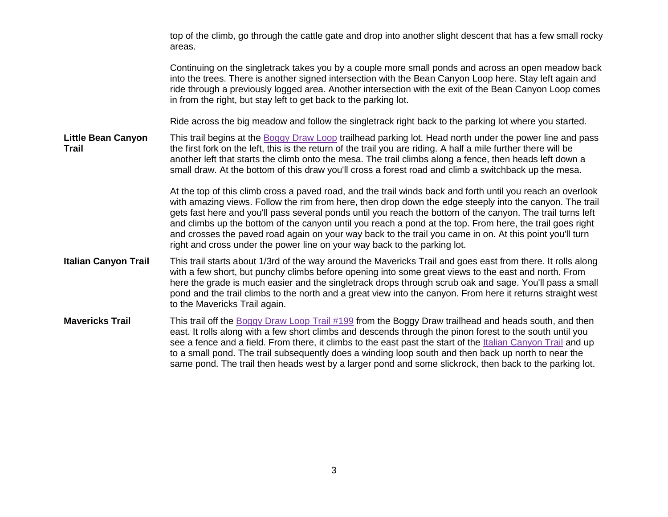|                                           | top of the climb, go through the cattle gate and drop into another slight descent that has a few small rocky<br>areas.                                                                                                                                                                                                                                                                                                                                                                                                                                                                                                                       |
|-------------------------------------------|----------------------------------------------------------------------------------------------------------------------------------------------------------------------------------------------------------------------------------------------------------------------------------------------------------------------------------------------------------------------------------------------------------------------------------------------------------------------------------------------------------------------------------------------------------------------------------------------------------------------------------------------|
|                                           | Continuing on the singletrack takes you by a couple more small ponds and across an open meadow back<br>into the trees. There is another signed intersection with the Bean Canyon Loop here. Stay left again and<br>ride through a previously logged area. Another intersection with the exit of the Bean Canyon Loop comes<br>in from the right, but stay left to get back to the parking lot.                                                                                                                                                                                                                                               |
|                                           | Ride across the big meadow and follow the singletrack right back to the parking lot where you started.                                                                                                                                                                                                                                                                                                                                                                                                                                                                                                                                       |
| <b>Little Bean Canyon</b><br><b>Trail</b> | This trail begins at the <b>Boggy Draw Loop</b> trailhead parking lot. Head north under the power line and pass<br>the first fork on the left, this is the return of the trail you are riding. A half a mile further there will be<br>another left that starts the climb onto the mesa. The trail climbs along a fence, then heads left down a<br>small draw. At the bottom of this draw you'll cross a forest road and climb a switchback up the mesa.                                                                                                                                                                                      |
|                                           | At the top of this climb cross a paved road, and the trail winds back and forth until you reach an overlook<br>with amazing views. Follow the rim from here, then drop down the edge steeply into the canyon. The trail<br>gets fast here and you'll pass several ponds until you reach the bottom of the canyon. The trail turns left<br>and climbs up the bottom of the canyon until you reach a pond at the top. From here, the trail goes right<br>and crosses the paved road again on your way back to the trail you came in on. At this point you'll turn<br>right and cross under the power line on your way back to the parking lot. |
| <b>Italian Canyon Trail</b>               | This trail starts about 1/3rd of the way around the Mavericks Trail and goes east from there. It rolls along<br>with a few short, but punchy climbs before opening into some great views to the east and north. From<br>here the grade is much easier and the singletrack drops through scrub oak and sage. You'll pass a small<br>pond and the trail climbs to the north and a great view into the canyon. From here it returns straight west<br>to the Mavericks Trail again.                                                                                                                                                              |
| <b>Mavericks Trail</b>                    | This trail off the Boggy Draw Loop Trail #199 from the Boggy Draw trailhead and heads south, and then<br>east. It rolls along with a few short climbs and descends through the pinon forest to the south until you<br>see a fence and a field. From there, it climbs to the east past the start of the Italian Canyon Trail and up<br>to a small pond. The trail subsequently does a winding loop south and then back up north to near the<br>same pond. The trail then heads west by a larger pond and some slickrock, then back to the parking lot.                                                                                        |